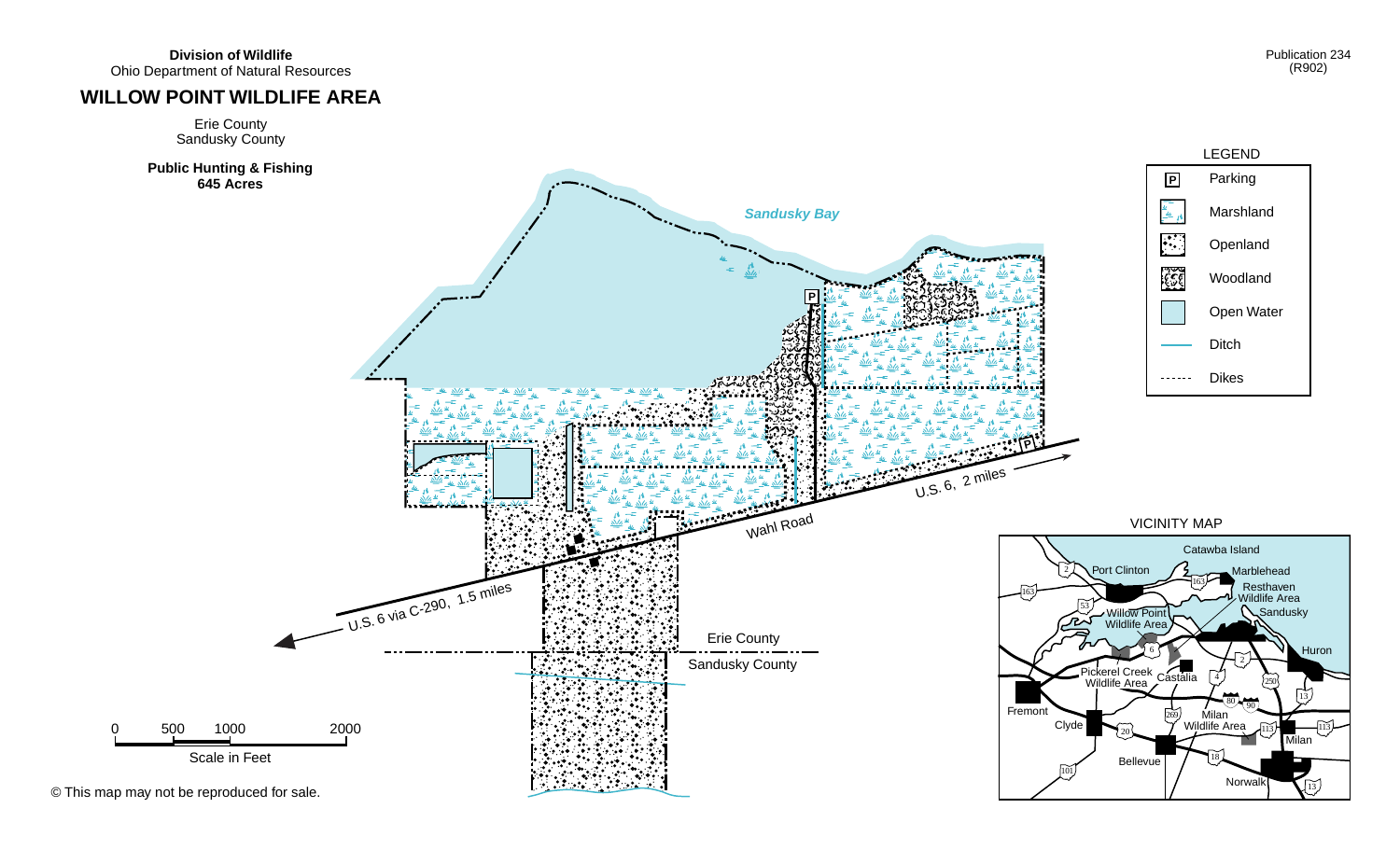# **WILLOW POINT WILDLIFE AREA**

Erie County Sandusky County



© This map may not be reproduced for sale.